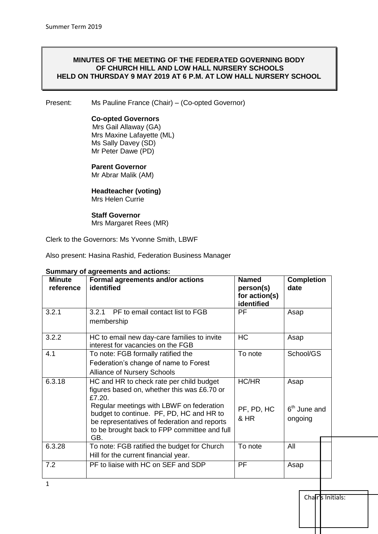#### **MINUTES OF THE MEETING OF THE FEDERATED GOVERNING BODY OF CHURCH HILL AND LOW HALL NURSERY SCHOOLS HELD ON THURSDAY 9 MAY 2019 AT 6 P.M. AT LOW HALL NURSERY SCHOOL**

Present: Ms Pauline France (Chair) – (Co-opted Governor)

#### **Co-opted Governors**

Mrs Gail Allaway (GA) Mrs Maxine Lafayette (ML) Ms Sally Davey (SD) Mr Peter Dawe (PD)

## **Parent Governor**

Mr Abrar Malik (AM)

#### **Headteacher (voting)** Mrs Helen Currie

#### **Staff Governor** Mrs Margaret Rees (MR)

Clerk to the Governors: Ms Yvonne Smith, LBWF

Also present: Hasina Rashid, Federation Business Manager

| <b>Minute</b><br>reference | Formal agreements and/or actions<br>identified                                                                                                                                                                                                                                                   | <b>Named</b><br>person(s)<br>for action(s)<br>identified | <b>Completion</b><br>date         |  |
|----------------------------|--------------------------------------------------------------------------------------------------------------------------------------------------------------------------------------------------------------------------------------------------------------------------------------------------|----------------------------------------------------------|-----------------------------------|--|
| 3.2.1                      | 3.2.1 PF to email contact list to FGB<br>membership                                                                                                                                                                                                                                              | <b>PF</b>                                                | Asap                              |  |
| 3.2.2                      | HC to email new day-care families to invite<br>interest for vacancies on the FGB                                                                                                                                                                                                                 | <b>HC</b>                                                | Asap                              |  |
| 4.1                        | To note: FGB formally ratified the<br>Federation's change of name to Forest<br><b>Alliance of Nursery Schools</b>                                                                                                                                                                                | To note                                                  | School/GS                         |  |
| 6.3.18                     | HC and HR to check rate per child budget<br>figures based on, whether this was £6.70 or<br>£7.20.<br>Regular meetings with LBWF on federation<br>budget to continue. PF, PD, HC and HR to<br>be representatives of federation and reports<br>to be brought back to FPP committee and full<br>GB. | HC/HR<br>PF, PD, HC<br>& HR                              | Asap<br>$6th$ June and<br>ongoing |  |
| 6.3.28                     | To note: FGB ratified the budget for Church<br>Hill for the current financial year.                                                                                                                                                                                                              | To note                                                  | All                               |  |
| 7.2                        | PF to liaise with HC on SEF and SDP                                                                                                                                                                                                                                                              | PF                                                       | Asap                              |  |

#### **Summary of agreements and actions:**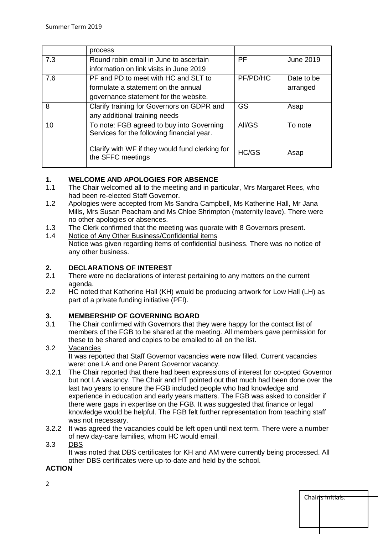|     | process                                                                                 |           |            |
|-----|-----------------------------------------------------------------------------------------|-----------|------------|
| 7.3 | Round robin email in June to ascertain                                                  | <b>PF</b> | June 2019  |
|     | information on link visits in June 2019                                                 |           |            |
| 7.6 | PF and PD to meet with HC and SLT to                                                    | PF/PD/HC  | Date to be |
|     | formulate a statement on the annual                                                     |           | arranged   |
|     | governance statement for the website.                                                   |           |            |
| 8   | Clarify training for Governors on GDPR and                                              | <b>GS</b> | Asap       |
|     | any additional training needs                                                           |           |            |
| 10  | To note: FGB agreed to buy into Governing<br>Services for the following financial year. | AII/GS    | To note    |
|     | Clarify with WF if they would fund clerking for<br>the SFFC meetings                    | HC/GS     | Asap       |

## **1. WELCOME AND APOLOGIES FOR ABSENCE**

- 1.1 The Chair welcomed all to the meeting and in particular, Mrs Margaret Rees, who had been re-elected Staff Governor.
- 1.2 Apologies were accepted from Ms Sandra Campbell, Ms Katherine Hall, Mr Jana Mills, Mrs Susan Peacham and Ms Chloe Shrimpton (maternity leave). There were no other apologies or absences.
- 1.3 The Clerk confirmed that the meeting was quorate with 8 Governors present.
- 1.4 Notice of Any Other Business/Confidential items Notice was given regarding items of confidential business. There was no notice of any other business.

# **2. DECLARATIONS OF INTEREST**

- There were no declarations of interest pertaining to any matters on the current agenda.
- 2.2 HC noted that Katherine Hall (KH) would be producing artwork for Low Hall (LH) as part of a private funding initiative (PFI).

## **3. MEMBERSHIP OF GOVERNING BOARD**

3.1 The Chair confirmed with Governors that they were happy for the contact list of members of the FGB to be shared at the meeting. All members gave permission for these to be shared and copies to be emailed to all on the list.

#### 3.2 Vacancies It was reported that Staff Governor vacancies were now filled. Current vacancies were: one LA and one Parent Governor vacancy.

- 3.2.1 The Chair reported that there had been expressions of interest for co-opted Governor but not LA vacancy. The Chair and HT pointed out that much had been done over the last two years to ensure the FGB included people who had knowledge and experience in education and early years matters. The FGB was asked to consider if there were gaps in expertise on the FGB. It was suggested that finance or legal knowledge would be helpful. The FGB felt further representation from teaching staff was not necessary.
- 3.2.2 It was agreed the vacancies could be left open until next term. There were a number of new day-care families, whom HC would email.

## 3.3 DBS

It was noted that DBS certificates for KH and AM were currently being processed. All other DBS certificates were up-to-date and held by the school.

Chairfs Initials:

## **ACTION**

2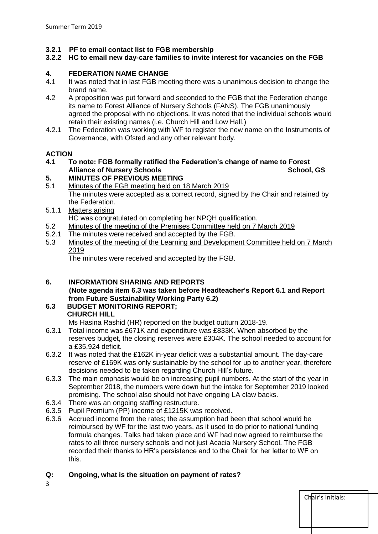#### **3.2.1 PF to email contact list to FGB membership**

#### **3.2.2 HC to email new day-care families to invite interest for vacancies on the FGB**

## **4. FEDERATION NAME CHANGE**

- 4.1 It was noted that in last FGB meeting there was a unanimous decision to change the brand name.
- 4.2 A proposition was put forward and seconded to the FGB that the Federation change its name to Forest Alliance of Nursery Schools (FANS). The FGB unanimously agreed the proposal with no objections. It was noted that the individual schools would retain their existing names (i.e. Church Hill and Low Hall.)
- 4.2.1 The Federation was working with WF to register the new name on the Instruments of Governance, with Ofsted and any other relevant body.

#### **ACTION**

**4.1 To note: FGB formally ratified the Federation's change of name to Forest Alliance of Nursery Schools** School, GS

## **5. MINUTES OF PREVIOUS MEETING**

5.1 Minutes of the FGB meeting held on 18 March 2019 The minutes were accepted as a correct record, signed by the Chair and retained by the Federation.

#### 5.1.1 Matters arising

HC was congratulated on completing her NPQH qualification.

- 5.2 Minutes of the meeting of the Premises Committee held on 7 March 2019
- 5.2.1 The minutes were received and accepted by the FGB.
- 5.3 Minutes of the meeting of the Learning and Development Committee held on 7 March 2019

The minutes were received and accepted by the FGB.

#### **6. INFORMATION SHARING AND REPORTS (Note agenda item 6.3 was taken before Headteacher's Report 6.1 and Report from Future Sustainability Working Party 6.2)**

## **6.3 BUDGET MONITORING REPORT; CHURCH HILL**

Ms Hasina Rashid (HR) reported on the budget outturn 2018-19.

- 6.3.1 Total income was £671K and expenditure was £833K. When absorbed by the reserves budget, the closing reserves were £304K. The school needed to account for a £35,924 deficit.
- 6.3.2 It was noted that the £162K in-year deficit was a substantial amount. The day-care reserve of £169K was only sustainable by the school for up to another year, therefore decisions needed to be taken regarding Church Hill's future.
- 6.3.3 The main emphasis would be on increasing pupil numbers. At the start of the year in September 2018, the numbers were down but the intake for September 2019 looked promising. The school also should not have ongoing LA claw backs.
- 6.3.4 There was an ongoing staffing restructure.
- 6.3.5 Pupil Premium (PP) income of £1215K was received.
- 6.3.6 Accrued income from the rates; the assumption had been that school would be reimbursed by WF for the last two years, as it used to do prior to national funding formula changes. Talks had taken place and WF had now agreed to reimburse the rates to all three nursery schools and not just Acacia Nursery School. The FGB recorded their thanks to HR's persistence and to the Chair for her letter to WF on this.

Chair's Initials:

## **Q: Ongoing, what is the situation on payment of rates?**

3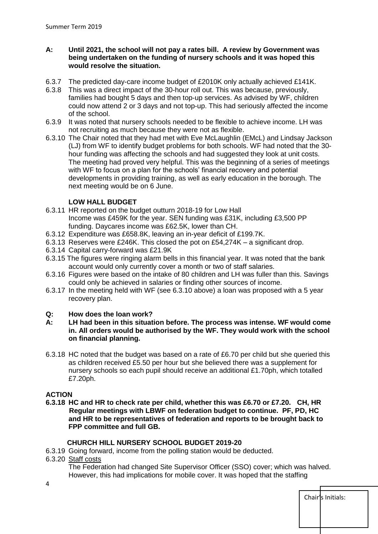#### **A: Until 2021, the school will not pay a rates bill. A review by Government was being undertaken on the funding of nursery schools and it was hoped this would resolve the situation.**

- 6.3.7 The predicted day-care income budget of £2010K only actually achieved £141K.
- 6.3.8 This was a direct impact of the 30-hour roll out. This was because, previously, families had bought 5 days and then top-up services. As advised by WF, children could now attend 2 or 3 days and not top-up. This had seriously affected the income of the school.
- 6.3.9 It was noted that nursery schools needed to be flexible to achieve income. LH was not recruiting as much because they were not as flexible.
- 6.3.10 The Chair noted that they had met with Eve McLaughlin (EMcL) and Lindsay Jackson (LJ) from WF to identify budget problems for both schools. WF had noted that the 30 hour funding was affecting the schools and had suggested they look at unit costs. The meeting had proved very helpful. This was the beginning of a series of meetings with WF to focus on a plan for the schools' financial recovery and potential developments in providing training, as well as early education in the borough. The next meeting would be on 6 June.

## **LOW HALL BUDGET**

- 6.3.11 HR reported on the budget outturn 2018-19 for Low Hall Income was £459K for the year. SEN funding was £31K, including £3,500 PP funding. Daycares income was £62.5K, lower than CH.
- 6.3.12 Expenditure was £658.8K, leaving an in-year deficit of £199.7K.
- 6.3.13 Reserves were £246K. This closed the pot on £54,274K a significant drop.
- 6.3.14 Capital carry-forward was £21.9K
- 6.3.15 The figures were ringing alarm bells in this financial year. It was noted that the bank account would only currently cover a month or two of staff salaries.
- 6.3.16 Figures were based on the intake of 80 children and LH was fuller than this. Savings could only be achieved in salaries or finding other sources of income.
- 6.3.17 In the meeting held with WF (see 6.3.10 above) a loan was proposed with a 5 year recovery plan.

#### **Q: How does the loan work?**

- **A: LH had been in this situation before. The process was intense. WF would come in. All orders would be authorised by the WF. They would work with the school on financial planning.**
- 6.3.18 HC noted that the budget was based on a rate of £6.70 per child but she queried this as children received £5.50 per hour but she believed there was a supplement for nursery schools so each pupil should receive an additional £1.70ph, which totalled £7.20ph.

#### **ACTION**

**6.3.18 HC and HR to check rate per child, whether this was £6.70 or £7.20. CH, HR Regular meetings with LBWF on federation budget to continue. PF, PD, HC and HR to be representatives of federation and reports to be brought back to FPP committee and full GB.** 

## **CHURCH HILL NURSERY SCHOOL BUDGET 2019-20**

- 6.3.19 Going forward, income from the polling station would be deducted.
- 6.3.20 Staff costs

The Federation had changed Site Supervisor Officer (SSO) cover; which was halved. However, this had implications for mobile cover. It was hoped that the staffing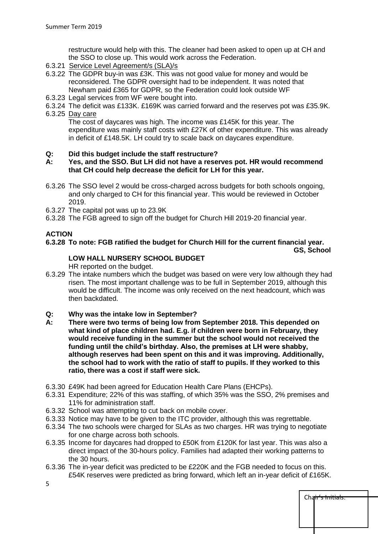restructure would help with this. The cleaner had been asked to open up at CH and the SSO to close up. This would work across the Federation.

- 6.3.21 Service Level Agreement/s (SLA)/s
- 6.3.22 The GDPR buy-in was £3K. This was not good value for money and would be reconsidered. The GDPR oversight had to be independent. It was noted that Newham paid £365 for GDPR, so the Federation could look outside WF
- 6.3.23 Legal services from WF were bought into.
- 6.3.24 The deficit was £133K. £169K was carried forward and the reserves pot was £35.9K.

#### 6.3.25 Day care

The cost of daycares was high. The income was £145K for this year. The expenditure was mainly staff costs with £27K of other expenditure. This was already in deficit of £148.5K. LH could try to scale back on daycares expenditure.

#### **Q: Did this budget include the staff restructure?**

#### **A: Yes, and the SSO. But LH did not have a reserves pot. HR would recommend that CH could help decrease the deficit for LH for this year.**

- 6.3.26 The SSO level 2 would be cross-charged across budgets for both schools ongoing, and only charged to CH for this financial year. This would be reviewed in October 2019.
- 6.3.27 The capital pot was up to 23.9K
- 6.3.28 The FGB agreed to sign off the budget for Church Hill 2019-20 financial year.

#### **ACTION**

#### **6.3.28 To note: FGB ratified the budget for Church Hill for the current financial year. GS, School**

## **LOW HALL NURSERY SCHOOL BUDGET**

HR reported on the budget.

- 6.3.29 The intake numbers which the budget was based on were very low although they had risen. The most important challenge was to be full in September 2019, although this would be difficult. The income was only received on the next headcount, which was then backdated.
- **Q: Why was the intake low in September?**
- **A: There were two terms of being low from September 2018. This depended on what kind of place children had. E.g. if children were born in February, they would receive funding in the summer but the school would not received the funding until the child's birthday. Also, the premises at LH were shabby, although reserves had been spent on this and it was improving. Additionally, the school had to work with the ratio of staff to pupils. If they worked to this ratio, there was a cost if staff were sick.**
- 6.3.30 £49K had been agreed for Education Health Care Plans (EHCPs).
- 6.3.31 Expenditure; 22% of this was staffing, of which 35% was the SSO, 2% premises and 11% for administration staff.
- 6.3.32 School was attempting to cut back on mobile cover.
- 6.3.33 Notice may have to be given to the ITC provider, although this was regrettable.
- 6.3.34 The two schools were charged for SLAs as two charges. HR was trying to negotiate for one charge across both schools.
- 6.3.35 Income for daycares had dropped to £50K from £120K for last year. This was also a direct impact of the 30-hours policy. Families had adapted their working patterns to the 30 hours.
- 6.3.36 The in-year deficit was predicted to be £220K and the FGB needed to focus on this. £54K reserves were predicted as bring forward, which left an in-year deficit of £165K.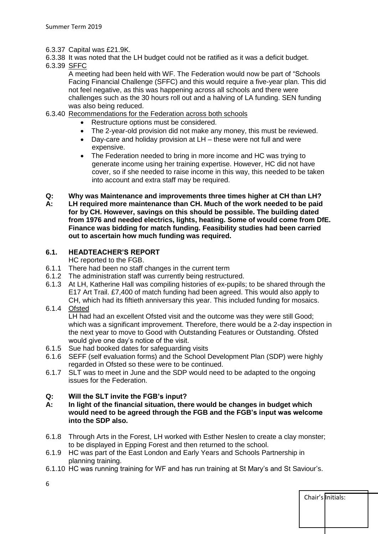- 6.3.37 Capital was £21.9K.
- 6.3.38 It was noted that the LH budget could not be ratified as it was a deficit budget.
- 6.3.39 SFFC

A meeting had been held with WF. The Federation would now be part of "Schools Facing Financial Challenge (SFFC) and this would require a five-year plan. This did not feel negative, as this was happening across all schools and there were challenges such as the 30 hours roll out and a halving of LA funding. SEN funding was also being reduced.

- 6.3.40 Recommendations for the Federation across both schools
	- Restructure options must be considered.
	- The 2-year-old provision did not make any money, this must be reviewed.
	- Day-care and holiday provision at LH these were not full and were expensive.
	- The Federation needed to bring in more income and HC was trying to generate income using her training expertise. However, HC did not have cover, so if she needed to raise income in this way, this needed to be taken into account and extra staff may be required.
- **Q: Why was Maintenance and improvements three times higher at CH than LH? A: LH required more maintenance than CH. Much of the work needed to be paid for by CH. However, savings on this should be possible. The building dated from 1976 and needed electrics, lights, heating. Some of would come from DfE. Finance was bidding for match funding. Feasibility studies had been carried out to ascertain how much funding was required.**

## **6.1. HEADTEACHER'S REPORT**

HC reported to the FGB.

- 6.1.1 There had been no staff changes in the current term
- 6.1.2 The administration staff was currently being restructured.
- 6.1.3 At LH, Katherine Hall was compiling histories of ex-pupils; to be shared through the E17 Art Trail. £7,400 of match funding had been agreed. This would also apply to CH, which had its fiftieth anniversary this year. This included funding for mosaics.
- 6.1.4 Ofsted

LH had had an excellent Ofsted visit and the outcome was they were still Good; which was a significant improvement. Therefore, there would be a 2-day inspection in the next year to move to Good with Outstanding Features or Outstanding. Ofsted would give one day's notice of the visit.

- 6.1.5 Sue had booked dates for safeguarding visits
- 6.1.6 SEFF (self evaluation forms) and the School Development Plan (SDP) were highly regarded in Ofsted so these were to be continued.
- 6.1.7 SLT was to meet in June and the SDP would need to be adapted to the ongoing issues for the Federation.

## **Q: Will the SLT invite the FGB's input?**

- **A: In light of the financial situation, there would be changes in budget which would need to be agreed through the FGB and the FGB's input was welcome into the SDP also.**
- 6.1.8 Through Arts in the Forest, LH worked with Esther Neslen to create a clay monster; to be displayed in Epping Forest and then returned to the school.
- 6.1.9 HC was part of the East London and Early Years and Schools Partnership in planning training.
- 6.1.10 HC was running training for WF and has run training at St Mary's and St Saviour's.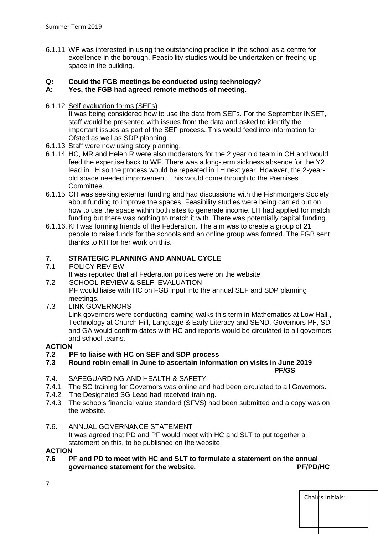6.1.11 WF was interested in using the outstanding practice in the school as a centre for excellence in the borough. Feasibility studies would be undertaken on freeing up space in the building.

## **Q: Could the FGB meetings be conducted using technology?**

## **A: Yes, the FGB had agreed remote methods of meeting.**

6.1.12 Self evaluation forms (SEFs)

It was being considered how to use the data from SEFs. For the September INSET, staff would be presented with issues from the data and asked to identify the important issues as part of the SEF process. This would feed into information for Ofsted as well as SDP planning.

- 6.1.13 Staff were now using story planning.
- 6.1.14 HC, MR and Helen R were also moderators for the 2 year old team in CH and would feed the expertise back to WF. There was a long-term sickness absence for the Y2 lead in LH so the process would be repeated in LH next year. However, the 2-yearold space needed improvement. This would come through to the Premises Committee.
- 6.1.15 CH was seeking external funding and had discussions with the Fishmongers Society about funding to improve the spaces. Feasibility studies were being carried out on how to use the space within both sites to generate income. LH had applied for match funding but there was nothing to match it with. There was potentially capital funding.
- 6.1.16. KH was forming friends of the Federation. The aim was to create a group of 21 people to raise funds for the schools and an online group was formed. The FGB sent thanks to KH for her work on this.

## **7. STRATEGIC PLANNING AND ANNUAL CYCLE**

- 7.1 POLICY REVIEW
	- It was reported that all Federation polices were on the website
- 7.2 SCHOOL REVIEW & SELF\_EVALUATION

 PF would liaise with HC on FGB input into the annual SEF and SDP planning meetings.

7.3 LINK GOVERNORS

Link governors were conducting learning walks this term in Mathematics at Low Hall , Technology at Church Hill, Language & Early Literacy and SEND. Governors PF, SD and GA would confirm dates with HC and reports would be circulated to all governors and school teams.

## **ACTION**

## **7.2 PF to liaise with HC on SEF and SDP process**

**7.3 Round robin email in June to ascertain information on visits in June 2019** 

**PF/GS**

Chair's Initials:

- 7.4. SAFEGUARDING AND HEALTH & SAFETY
- 7.4.1 The SG training for Governors was online and had been circulated to all Governors.
- 7.4.2 The Designated SG Lead had received training.
- 7.4.3 The schools financial value standard (SFVS) had been submitted and a copy was on the website.

## 7.6. ANNUAL GOVERNANCE STATEMENT

It was agreed that PD and PF would meet with HC and SLT to put together a statement on this, to be published on the website.

#### **ACTION**

**7.6 PF and PD to meet with HC and SLT to formulate a statement on the annual governance statement for the website. PF/PD/HC**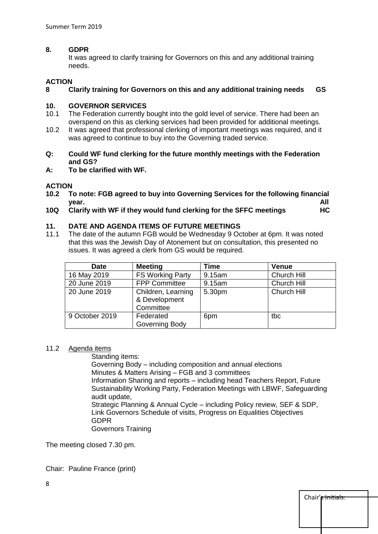#### **8. GDPR**

It was agreed to clarify training for Governors on this and any additional training needs.

#### **ACTION**

#### **8 Clarify training for Governors on this and any additional training needs GS**

#### **10. GOVERNOR SERVICES**

- 10.1 The Federation currently bought into the gold level of service. There had been an overspend on this as clerking services had been provided for additional meetings.
- 10.2 It was agreed that professional clerking of important meetings was required, and it was agreed to continue to buy into the Governing traded service.
- **Q: Could WF fund clerking for the future monthly meetings with the Federation and GS?**
- **A: To be clarified with WF.**

## **ACTION**

- **10.2 To note: FGB agreed to buy into Governing Services for the following financial year. All**
- **10Q Clarify with WF if they would fund clerking for the SFFC meetings HC**

#### **11. DATE AND AGENDA ITEMS OF FUTURE MEETINGS**

11.1 The date of the autumn FGB would be Wednesday 9 October at 6pm. It was noted that this was the Jewish Day of Atonement but on consultation, this presented no issues. It was agreed a clerk from GS would be required.

| <b>Date</b>    | <b>Meeting</b>                                   | <b>Time</b> | <b>Venue</b> |
|----------------|--------------------------------------------------|-------------|--------------|
| 16 May 2019    | <b>FS Working Party</b>                          | 9.15am      | Church Hill  |
| 20 June 2019   | <b>FPP Committee</b>                             | 9.15am      | Church Hill  |
| 20 June 2019   | Children, Learning<br>& Development<br>Committee | 5.30pm      | Church Hill  |
| 9 October 2019 | Federated<br>Governing Body                      | 6pm         | tbc          |

#### 11.2 Agenda items

Standing items:

Governing Body – including composition and annual elections Minutes & Matters Arising – FGB and 3 committees Information Sharing and reports – including head Teachers Report, Future Sustainability Working Party, Federation Meetings with LBWF, Safeguarding audit update, Strategic Planning & Annual Cycle – including Policy review, SEF & SDP, Link Governors Schedule of visits, Progress on Equalities Objectives

GDPR

Governors Training

The meeting closed 7.30 pm.

Chair: Pauline France (print)

| Chair' <del>s Initials.</del> |  |
|-------------------------------|--|